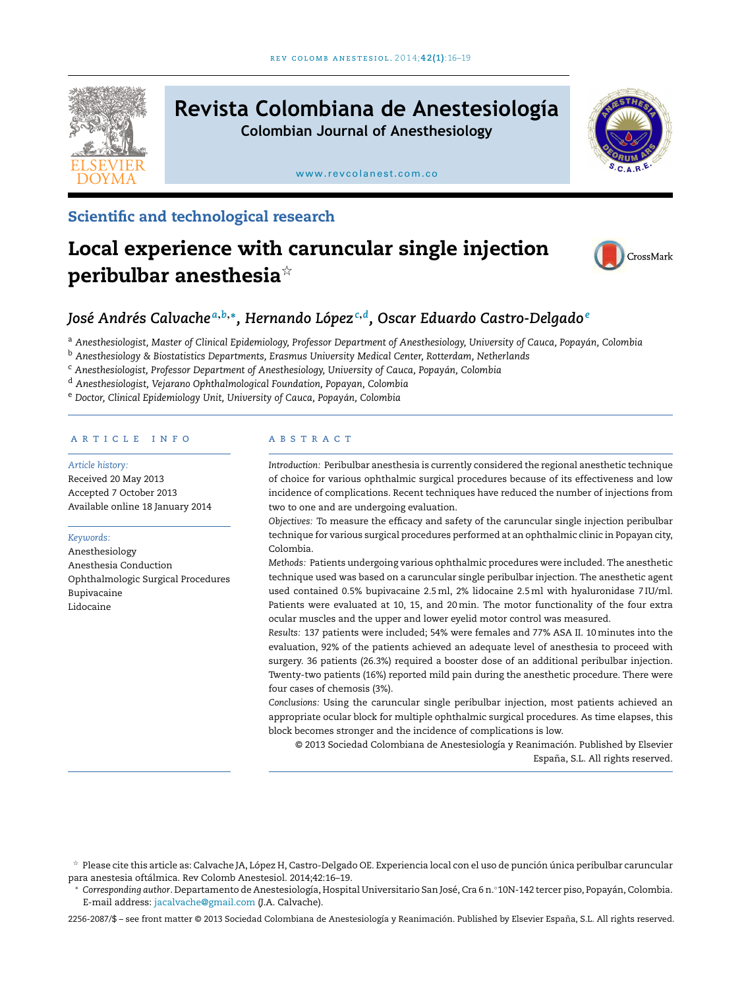

# **Revista Colombiana de Anestesiología**

**Colombian Journal of Anesthesiology**

[www.revcolanest.com.co](http://www.revcolanest.com.co)



### Scientific and technological research

# Local experience with caruncular single injection peribulbar anesthesia $*$



## *José Andrés Calvache <sup>a</sup>*,*b*,<sup>∗</sup> *, Hernando López<sup>c</sup>*,*<sup>d</sup> , Oscar Eduardo Castro-Delgado<sup>e</sup>*

a Anesthesiologist, Master of Clinical Epidemiology, Professor Department of Anesthesiology, University of Cauca, Popayán, Colombia

<sup>b</sup> *Anesthesiology & Biostatistics Departments, Erasmus University Medical Center, Rotterdam, Netherlands*

<sup>c</sup> *Anesthesiologist, Professor Department of Anesthesiology, University of Cauca, Popayán, Colombia*

<sup>d</sup> *Anesthesiologist, Vejarano Ophthalmological Foundation, Popayan, Colombia*

<sup>e</sup> *Doctor, Clinical Epidemiology Unit, University of Cauca, Popayán, Colombia*

#### a r t i c l e i n f o

*Article history:* Received 20 May 2013 Accepted 7 October 2013

Available online 18 January 2014

#### *Keywords:*

Anesthesiology Anesthesia Conduction Ophthalmologic Surgical Procedures Bupivacaine Lidocaine

#### a b s t r a c t

*Introduction:* Peribulbar anesthesia is currently considered the regional anesthetic technique of choice for various ophthalmic surgical procedures because of its effectiveness and low incidence of complications. Recent techniques have reduced the number of injections from two to one and are undergoing evaluation.

*Objectives:* To measure the efficacy and safety of the caruncular single injection peribulbar technique for various surgical procedures performed at an ophthalmic clinic in Popayan city, Colombia.

*Methods:* Patients undergoing various ophthalmic procedures were included. The anesthetic technique used was based on a caruncular single peribulbar injection. The anesthetic agent used contained 0.5% bupivacaine 2.5ml, 2% lidocaine 2.5ml with hyaluronidase 7 IU/ml. Patients were evaluated at 10, 15, and 20min. The motor functionality of the four extra ocular muscles and the upper and lower eyelid motor control was measured.

*Results:* 137 patients were included; 54% were females and 77% ASA II. 10minutes into the evaluation, 92% of the patients achieved an adequate level of anesthesia to proceed with surgery. 36 patients (26.3%) required a booster dose of an additional peribulbar injection. Twenty-two patients (16%) reported mild pain during the anesthetic procedure. There were four cases of chemosis (3%).

*Conclusions:* Using the caruncular single peribulbar injection, most patients achieved an appropriate ocular block for multiple ophthalmic surgical procedures. As time elapses, this block becomes stronger and the incidence of complications is low.

© 2013 Sociedad Colombiana de Anestesiología y Reanimación. Published by Elsevier España, S.L. All rights reserved.

2256-2087/\$ – see front matter © 2013 Sociedad Colombiana de Anestesiología y Reanimación. Published by Elsevier España, S.L. All rights reserved.

 $^\star$  Please cite this article as: Calvache JA, López H, Castro-Delgado OE. Experiencia local con el uso de punción única peribulbar caruncular para anestesia oftálmica. Rev Colomb Anestesiol. 2014;42:16–19.

<sup>∗</sup> *Corresponding author*. Departamento de Anestesiología, Hospital Universitario San José, Cra 6 n.◦10N-142 tercer piso, Popayán, Colombia. E-mail address: [jacalvache@gmail.com](mailto:jacalvache@gmail.com) (J.A. Calvache).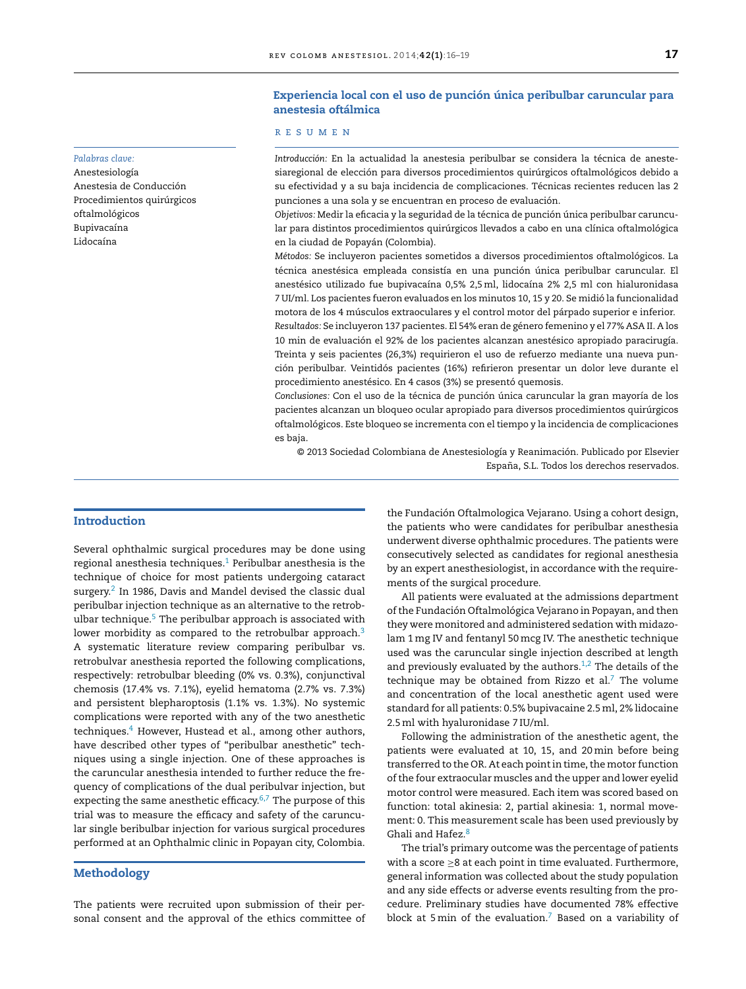#### Experiencia local con el uso de punción única peribulbar caruncular para anestesia oftálmica

#### r e s u m e n

*Introducción:* En la actualidad la anestesia peribulbar se considera la técnica de anestesiaregional de elección para diversos procedimientos quirúrgicos oftalmológicos debido a su efectividad y a su baja incidencia de complicaciones. Técnicas recientes reducen las 2 punciones a una sola y se encuentran en proceso de evaluación.

*Objetivos:* Medir la eficacia y la seguridad de la técnica de punción única peribulbar caruncular para distintos procedimientos quirúrgicos llevados a cabo en una clínica oftalmológica en la ciudad de Popayán (Colombia).

*Métodos:* Se incluyeron pacientes sometidos a diversos procedimientos oftalmológicos. La técnica anestésica empleada consistía en una punción única peribulbar caruncular. El anestésico utilizado fue bupivacaína 0,5% 2,5ml, lidocaína 2% 2,5 ml con hialuronidasa 7 UI/ml. Los pacientes fueron evaluados en los minutos 10, 15 y 20. Se midió la funcionalidad motora de los 4 músculos extraoculares y el control motor del párpado superior e inferior. *Resultados:* Se incluyeron 137 pacientes. El 54% eran de género femenino y el 77% ASA II. A los 10 min de evaluación el 92% de los pacientes alcanzan anestésico apropiado paracirugía. Treinta y seis pacientes (26,3%) requirieron el uso de refuerzo mediante una nueva punción peribulbar. Veintidós pacientes (16%) refirieron presentar un dolor leve durante el procedimiento anestésico. En 4 casos (3%) se presentó quemosis.

*Conclusiones:* Con el uso de la técnica de punción única caruncular la gran mayoría de los pacientes alcanzan un bloqueo ocular apropiado para diversos procedimientos quirúrgicos oftalmológicos. Este bloqueo se incrementa con el tiempo y la incidencia de complicaciones es baja.

© 2013 Sociedad Colombiana de Anestesiología y Reanimación. Publicado por Elsevier España, S.L. Todos los derechos reservados.

#### *Palabras clave:*

Anestesiología Anestesia de Conducción Procedimientos quirúrgicos oftalmológicos Bupivacaína Lidocaína

#### Introduction

Several ophthalmic surgical procedures may be done using regional anesthesia techniques.<sup>[1](#page-3-0)</sup> Peribulbar anesthesia is the technique of choice for most patients undergoing cataract surgery. $2$  In 1986, Davis and Mandel devised the classic dual peribulbar injection technique as an alternative to the retrob-ulbar technique.<sup>[5](#page-3-0)</sup> The peribulbar approach is associated with lower morbidity as compared to the retrobulbar approach. $3$ A systematic literature review comparing peribulbar vs. retrobulvar anesthesia reported the following complications, respectively: retrobulbar bleeding (0% vs. 0.3%), conjunctival chemosis (17.4% vs. 7.1%), eyelid hematoma (2.7% vs. 7.3%) and persistent blepharoptosis (1.1% vs. 1.3%). No systemic complications were reported with any of the two anesthetic techniques.<sup>[4](#page-3-0)</sup> However, Hustead et al., among other authors, have described other types of "peribulbar anesthetic" techniques using a single injection. One of these approaches is the caruncular anesthesia intended to further reduce the frequency of complications of the dual peribulvar injection, but expecting the same anesthetic efficacy.<sup>[6,7](#page-3-0)</sup> The purpose of this trial was to measure the efficacy and safety of the caruncular single beribulbar injection for various surgical procedures performed at an Ophthalmic clinic in Popayan city, Colombia.

#### Methodology

The patients were recruited upon submission of their personal consent and the approval of the ethics committee of

the Fundación Oftalmologica Vejarano. Using a cohort design, the patients who were candidates for peribulbar anesthesia underwent diverse ophthalmic procedures. The patients were consecutively selected as candidates for regional anesthesia by an expert anesthesiologist, in accordance with the requirements of the surgical procedure.

All patients were evaluated at the admissions department ofthe Fundación Oftalmológica Vejarano in Popayan, and then they were monitored and administered sedation with midazolam 1mg IV and fentanyl 50mcg IV. The anesthetic technique used was the caruncular single injection described at length and previously evaluated by the authors. $1,2$  The details of the technique may be obtained from Rizzo et al. $^7$  $^7$  The volume and concentration of the local anesthetic agent used were standard for all patients: 0.5% bupivacaine 2.5 ml, 2% lidocaine 2.5ml with hyaluronidase 7 IU/ml.

Following the administration of the anesthetic agent, the patients were evaluated at 10, 15, and 20min before being transferred to the OR. At each point in time, the motor function ofthe four extraocular muscles and the upper and lower eyelid motor control were measured. Each item was scored based on function: total akinesia: 2, partial akinesia: 1, normal movement: 0. This measurement scale has been used previously by Ghali and Hafez.<sup>[8](#page-3-0)</sup>

The trial's primary outcome was the percentage of patients with a score ≥8 at each point in time evaluated. Furthermore, general information was collected about the study population and any side effects or adverse events resulting from the procedure. Preliminary studies have documented 78% effective block at 5 min of the evaluation.<sup>[7](#page-3-0)</sup> Based on a variability of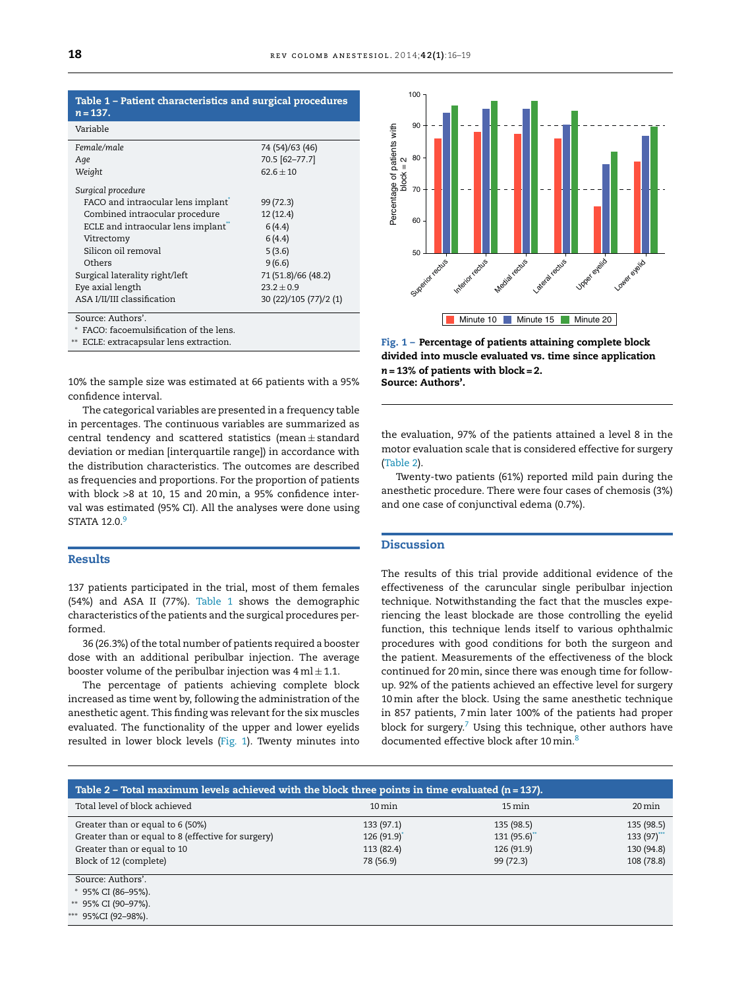|            | Table 1 - Patient characteristics and surgical procedures |  |  |
|------------|-----------------------------------------------------------|--|--|
| $n = 137.$ |                                                           |  |  |
|            |                                                           |  |  |

| Variable                           |                        |  |  |  |
|------------------------------------|------------------------|--|--|--|
| Female/male                        | 74 (54)/63 (46)        |  |  |  |
| Age                                | 70.5 [62-77.7]         |  |  |  |
| Weight                             | $62.6 \pm 10$          |  |  |  |
| Surgical procedure                 |                        |  |  |  |
| FACO and intraocular lens implant  | 99 (72.3)              |  |  |  |
| Combined intraocular procedure     | 12(12.4)               |  |  |  |
| ECLE and intraocular lens implant" | 6(4.4)                 |  |  |  |
| Vitrectomy                         | 6(4.4)                 |  |  |  |
| Silicon oil removal                | 5(3.6)                 |  |  |  |
| Others                             | 9(6.6)                 |  |  |  |
| Surgical laterality right/left     | 71 (51.8)/66 (48.2)    |  |  |  |
| Eye axial length                   | $23.2 + 0.9$           |  |  |  |
| ASA I/II/III classification        | 30 (22)/105 (77)/2 (1) |  |  |  |
| Source: Authors'.                  |                        |  |  |  |
|                                    |                        |  |  |  |

FACO: facoemulsification of the lens.

∗∗ ECLE: extracapsular lens extraction.

10% the sample size was estimated at 66 patients with a 95% confidence interval.

The categorical variables are presented in a frequency table in percentages. The continuous variables are summarized as central tendency and scattered statistics (mean ± standard deviation or median [interquartile range]) in accordance with the distribution characteristics. The outcomes are described as frequencies and proportions. For the proportion of patients with block >8 at 10, 15 and 20min, a 95% confidence interval was estimated (95% CI). All the analyses were done using STATA 12.0.<sup>[9](#page-3-0)</sup>

#### Results

137 patients participated in the trial, most of them females (54%) and ASA II (77%). Table 1 shows the demographic characteristics of the patients and the surgical procedures performed.

36 (26.3%) of the total number of patients required a booster dose with an additional peribulbar injection. The average booster volume of the peribulbar injection was  $4 \text{ ml} \pm 1.1$ .

The percentage of patients achieving complete block increased as time went by, following the administration of the anesthetic agent. This finding was relevant for the six muscles evaluated. The functionality of the upper and lower eyelids resulted in lower block levels (Fig. 1). Twenty minutes into



Fig. 1 – Percentage of patients attaining complete block divided into muscle evaluated vs. time since application *n* = 13% of patients with block = 2. Source: Authors'.

the evaluation, 97% of the patients attained a level 8 in the motor evaluation scale that is considered effective for surgery (Table 2).

Twenty-two patients (61%) reported mild pain during the anesthetic procedure. There were four cases of chemosis (3%) and one case of conjunctival edema (0.7%).

#### Discussion

The results of this trial provide additional evidence of the effectiveness of the caruncular single peribulbar injection technique. Notwithstanding the fact that the muscles experiencing the least blockade are those controlling the eyelid function, this technique lends itself to various ophthalmic procedures with good conditions for both the surgeon and the patient. Measurements of the effectiveness of the block continued for 20min, since there was enough time for followup. 92% of the patients achieved an effective level for surgery 10min after the block. Using the same anesthetic technique in 857 patients, 7 min later 100% of the patients had proper block for surgery.<sup>[7](#page-3-0)</sup> Using this technique, other authors have documented effective block after 10 min.<sup>[8](#page-3-0)</sup>

| Table 2 – Total maximum levels achieved with the block three points in time evaluated ( $n = 137$ ). |                     |                     |                     |  |  |  |  |
|------------------------------------------------------------------------------------------------------|---------------------|---------------------|---------------------|--|--|--|--|
| Total level of block achieved                                                                        | $10 \,\mathrm{min}$ | $15 \,\mathrm{min}$ | $20 \,\mathrm{min}$ |  |  |  |  |
| Greater than or equal to 6 (50%)                                                                     | 133(97.1)           | 135 (98.5)          | 135 (98.5)          |  |  |  |  |
| Greater than or equal to 8 (effective for surgery)                                                   | 126(91.9)           | 131(95.6)           | 133(97)             |  |  |  |  |
| Greater than or equal to 10                                                                          | 113 (82.4)          | 126 (91.9)          | 130 (94.8)          |  |  |  |  |
| Block of 12 (complete)                                                                               | 78 (56.9)           | 99(72.3)            | 108 (78.8)          |  |  |  |  |
| Source: Authors'.                                                                                    |                     |                     |                     |  |  |  |  |
| * 95% CI (86-95%).                                                                                   |                     |                     |                     |  |  |  |  |

∗∗ 95% CI (90–97%).

∗∗∗ 95%CI (92–98%).